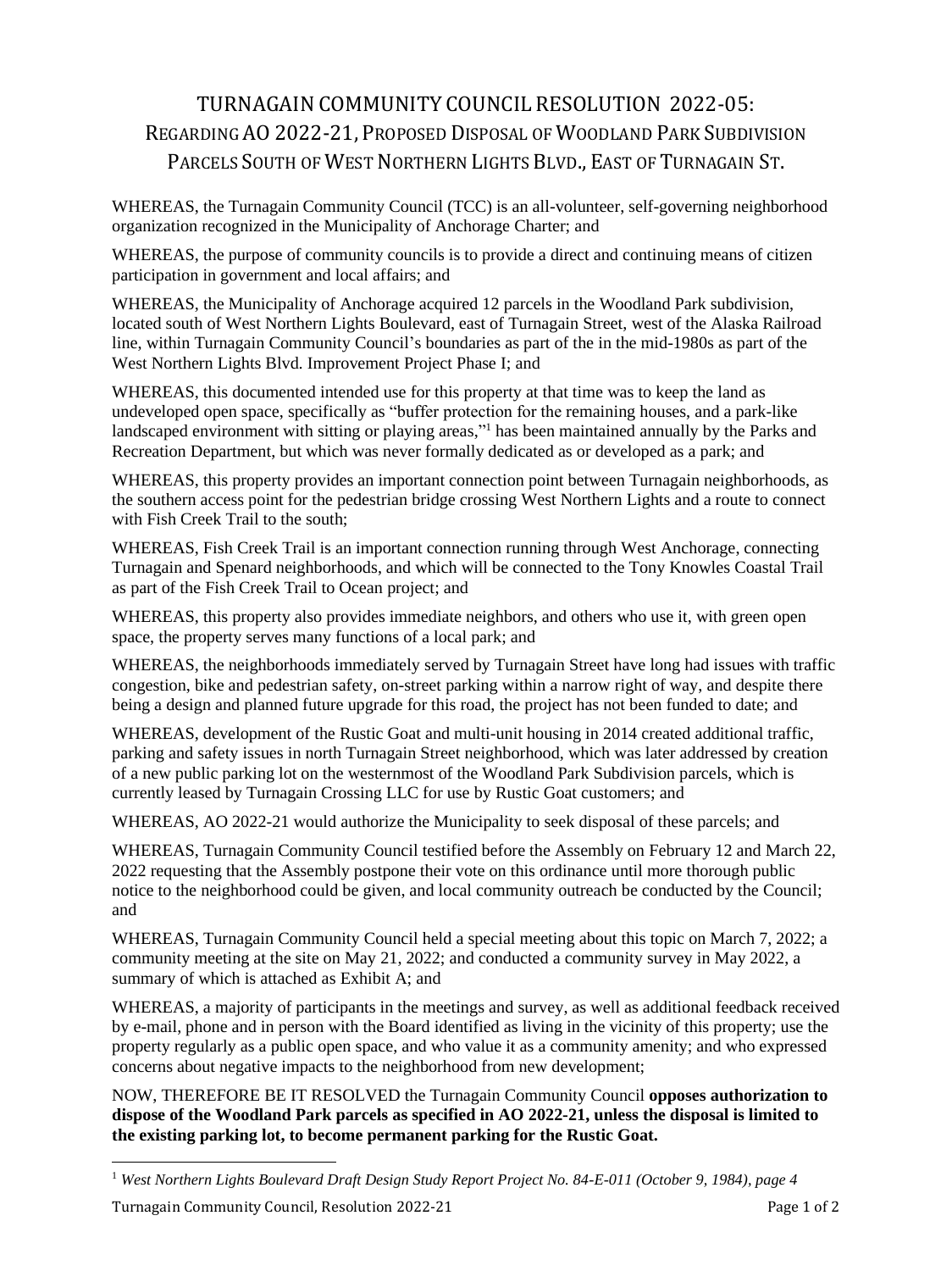# TURNAGAINCOMMUNITY COUNCIL RESOLUTION 2022-05: REGARDING AO 2022-21, PROPOSED DISPOSAL OF WOODLAND PARK SUBDIVISION PARCELS SOUTH OF WEST NORTHERN LIGHTS BLVD., EAST OF TURNAGAIN ST.

WHEREAS, the Turnagain Community Council (TCC) is an all-volunteer, self-governing neighborhood organization recognized in the Municipality of Anchorage Charter; and

WHEREAS, the purpose of community councils is to provide a direct and continuing means of citizen participation in government and local affairs; and

WHEREAS, the Municipality of Anchorage acquired 12 parcels in the Woodland Park subdivision, located south of West Northern Lights Boulevard, east of Turnagain Street, west of the Alaska Railroad line, within Turnagain Community Council's boundaries as part of the in the mid-1980s as part of the West Northern Lights Blvd. Improvement Project Phase I; and

WHEREAS, this documented intended use for this property at that time was to keep the land as undeveloped open space, specifically as "buffer protection for the remaining houses, and a park-like landscaped environment with sitting or playing areas,"<sup>1</sup> has been maintained annually by the Parks and Recreation Department, but which was never formally dedicated as or developed as a park; and

WHEREAS, this property provides an important connection point between Turnagain neighborhoods, as the southern access point for the pedestrian bridge crossing West Northern Lights and a route to connect with Fish Creek Trail to the south:

WHEREAS, Fish Creek Trail is an important connection running through West Anchorage, connecting Turnagain and Spenard neighborhoods, and which will be connected to the Tony Knowles Coastal Trail as part of the Fish Creek Trail to Ocean project; and

WHEREAS, this property also provides immediate neighbors, and others who use it, with green open space, the property serves many functions of a local park; and

WHEREAS, the neighborhoods immediately served by Turnagain Street have long had issues with traffic congestion, bike and pedestrian safety, on-street parking within a narrow right of way, and despite there being a design and planned future upgrade for this road, the project has not been funded to date; and

WHEREAS, development of the Rustic Goat and multi-unit housing in 2014 created additional traffic, parking and safety issues in north Turnagain Street neighborhood, which was later addressed by creation of a new public parking lot on the westernmost of the Woodland Park Subdivision parcels, which is currently leased by Turnagain Crossing LLC for use by Rustic Goat customers; and

WHEREAS, AO 2022-21 would authorize the Municipality to seek disposal of these parcels; and

WHEREAS, Turnagain Community Council testified before the Assembly on February 12 and March 22, 2022 requesting that the Assembly postpone their vote on this ordinance until more thorough public notice to the neighborhood could be given, and local community outreach be conducted by the Council; and

WHEREAS, Turnagain Community Council held a special meeting about this topic on March 7, 2022; a community meeting at the site on May 21, 2022; and conducted a community survey in May 2022, a summary of which is attached as Exhibit A; and

WHEREAS, a majority of participants in the meetings and survey, as well as additional feedback received by e-mail, phone and in person with the Board identified as living in the vicinity of this property; use the property regularly as a public open space, and who value it as a community amenity; and who expressed concerns about negative impacts to the neighborhood from new development;

NOW, THEREFORE BE IT RESOLVED the Turnagain Community Council **opposes authorization to dispose of the Woodland Park parcels as specified in AO 2022-21, unless the disposal is limited to the existing parking lot, to become permanent parking for the Rustic Goat.**

<sup>1</sup> *West Northern Lights Boulevard Draft Design Study Report Project No. 84-E-011 (October 9, 1984), page 4*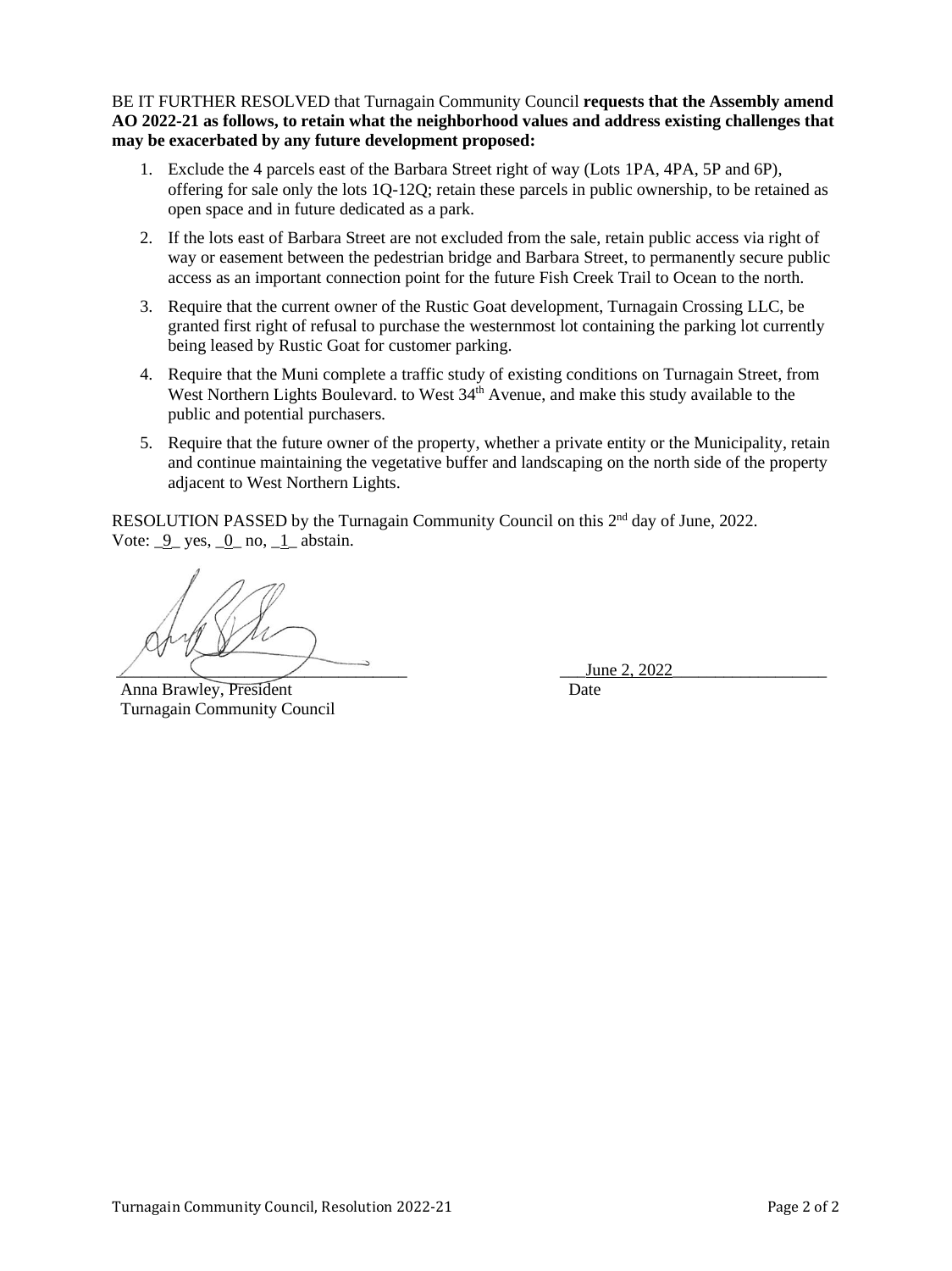BE IT FURTHER RESOLVED that Turnagain Community Council **requests that the Assembly amend AO 2022-21 as follows, to retain what the neighborhood values and address existing challenges that may be exacerbated by any future development proposed:**

- 1. Exclude the 4 parcels east of the Barbara Street right of way (Lots 1PA, 4PA, 5P and 6P), offering for sale only the lots 1Q-12Q; retain these parcels in public ownership, to be retained as open space and in future dedicated as a park.
- 2. If the lots east of Barbara Street are not excluded from the sale, retain public access via right of way or easement between the pedestrian bridge and Barbara Street, to permanently secure public access as an important connection point for the future Fish Creek Trail to Ocean to the north.
- 3. Require that the current owner of the Rustic Goat development, Turnagain Crossing LLC, be granted first right of refusal to purchase the westernmost lot containing the parking lot currently being leased by Rustic Goat for customer parking.
- 4. Require that the Muni complete a traffic study of existing conditions on Turnagain Street, from West Northern Lights Boulevard. to West 34<sup>th</sup> Avenue, and make this study available to the public and potential purchasers.
- 5. Require that the future owner of the property, whether a private entity or the Municipality, retain and continue maintaining the vegetative buffer and landscaping on the north side of the property adjacent to West Northern Lights.

RESOLUTION PASSED by the Turnagain Community Council on this 2<sup>nd</sup> day of June, 2022. Vote:  $\frac{9}{2}$  yes,  $\frac{0}{2}$  no,  $\frac{1}{2}$  abstain.

Anna Brawley, President Date Turnagain Community Council

June 2, 2022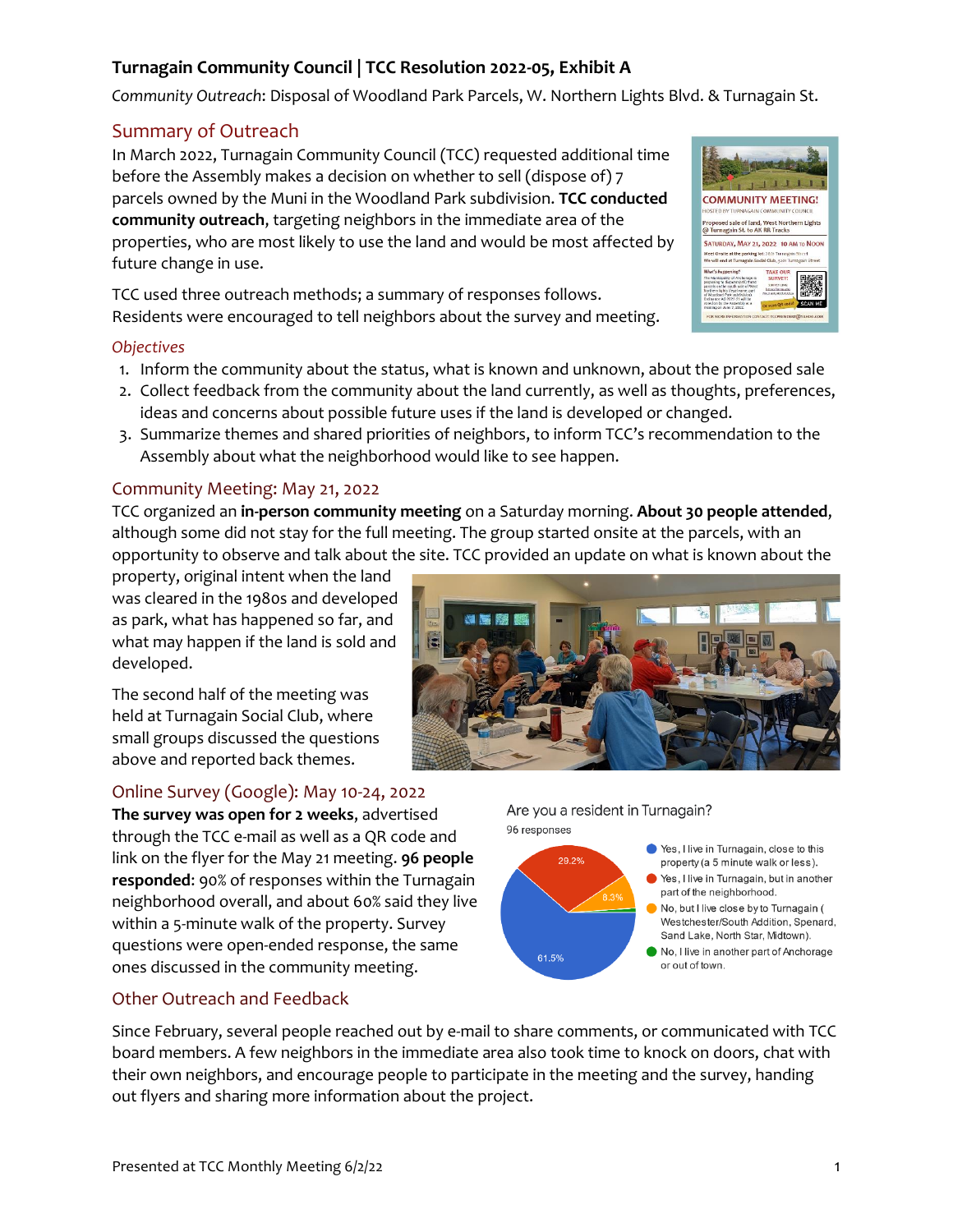#### *Community Outreach*: Disposal of Woodland Park Parcels, W. Northern Lights Blvd. & Turnagain St.

**Turnagain Community Council | TCC Resolution 2022-05, Exhibit A** 

#### Summary of Outreach

In March 2022, Turnagain Community Council (TCC) requested additional time before the Assembly makes a decision on whether to sell (dispose of) 7 parcels owned by the Muni in the Woodland Park subdivision. **TCC conducted community outreach**, targeting neighbors in the immediate area of the properties, who are most likely to use the land and would be most affected by future change in use.

TCC used three outreach methods; a summary of responses follows. Residents were encouraged to tell neighbors about the survey and meeting.

#### *Objectives*

- 1. Inform the community about the status, what is known and unknown, about the proposed sale
- 2. Collect feedback from the community about the land currently, as well as thoughts, preferences, ideas and concerns about possible future uses if the land is developed or changed.
- 3. Summarize themes and shared priorities of neighbors, to inform TCC's recommendation to the Assembly about what the neighborhood would like to see happen.

#### Community Meeting: May 21, 2022

TCC organized an **in-person community meeting** on a Saturday morning. **About 30 people attended**, although some did not stay for the full meeting. The group started onsite at the parcels, with an opportunity to observe and talk about the site. TCC provided an update on what is known about the

property, original intent when the land was cleared in the 1980s and developed as park, what has happened so far, and what may happen if the land is sold and developed.

The second half of the meeting was held at Turnagain Social Club, where small groups discussed the questions above and reported back themes.

#### Online Survey (Google): May 10-24, 2022

**The survey was open for 2 weeks**, advertised through the TCC e-mail as well as a QR code and link on the flyer for the May 21 meeting. **96 people responded**: 90% of responses within the Turnagain neighborhood overall, and about 60% said they live within a 5-minute walk of the property. Survey questions were open-ended response, the same ones discussed in the community meeting.

#### Other Outreach and Feedback

Since February, several people reached out by e-mail to share comments, or communicated with TCC board members. A few neighbors in the immediate area also took time to knock on doors, chat with their own neighbors, and encourage people to participate in the meeting and the survey, handing out flyers and sharing more information about the project.



Are you a resident in Turnagain?

● Yes, I live in Turnagain, close to this

or out of town.

property (a 5 minute walk or less). Yes, I live in Turnagain, but in another part of the neighborhood. No. but I live close by to Turnagain ( Westchester/South Addition, Spenard. Sand Lake, North Star, Midtown). No, I live in another part of Anchorage

96 responses

61.5%

29.2%

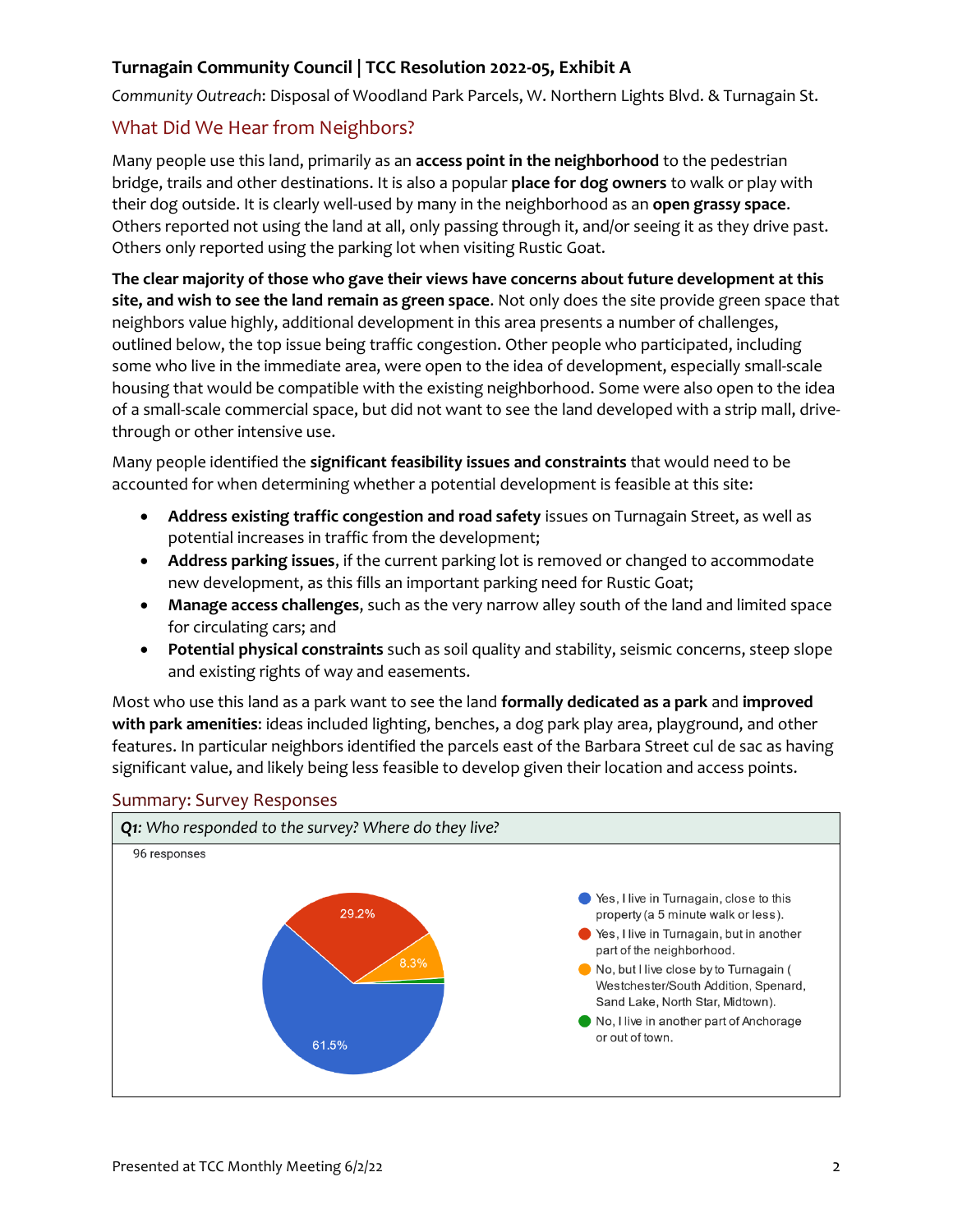*Community Outreach*: Disposal of Woodland Park Parcels, W. Northern Lights Blvd. & Turnagain St.

### What Did We Hear from Neighbors?

Many people use this land, primarily as an **access point in the neighborhood** to the pedestrian bridge, trails and other destinations. It is also a popular **place for dog owners** to walk or play with their dog outside. It is clearly well-used by many in the neighborhood as an **open grassy space**. Others reported not using the land at all, only passing through it, and/or seeing it as they drive past. Others only reported using the parking lot when visiting Rustic Goat.

**The clear majority of those who gave their views have concerns about future development at this site, and wish to see the land remain as green space**. Not only does the site provide green space that neighbors value highly, additional development in this area presents a number of challenges, outlined below, the top issue being traffic congestion. Other people who participated, including some who live in the immediate area, were open to the idea of development, especially small-scale housing that would be compatible with the existing neighborhood. Some were also open to the idea of a small-scale commercial space, but did not want to see the land developed with a strip mall, drivethrough or other intensive use.

Many people identified the **significant feasibility issues and constraints** that would need to be accounted for when determining whether a potential development is feasible at this site:

- **Address existing traffic congestion and road safety** issues on Turnagain Street, as well as potential increases in traffic from the development;
- **Address parking issues**, if the current parking lot is removed or changed to accommodate new development, as this fills an important parking need for Rustic Goat;
- **Manage access challenges**, such as the very narrow alley south of the land and limited space for circulating cars; and
- **Potential physical constraints** such as soil quality and stability, seismic concerns, steep slope and existing rights of way and easements.

Most who use this land as a park want to see the land **formally dedicated as a park** and **improved with park amenities**: ideas included lighting, benches, a dog park play area, playground, and other features. In particular neighbors identified the parcels east of the Barbara Street cul de sac as having significant value, and likely being less feasible to develop given their location and access points.



#### Summary: Survey Responses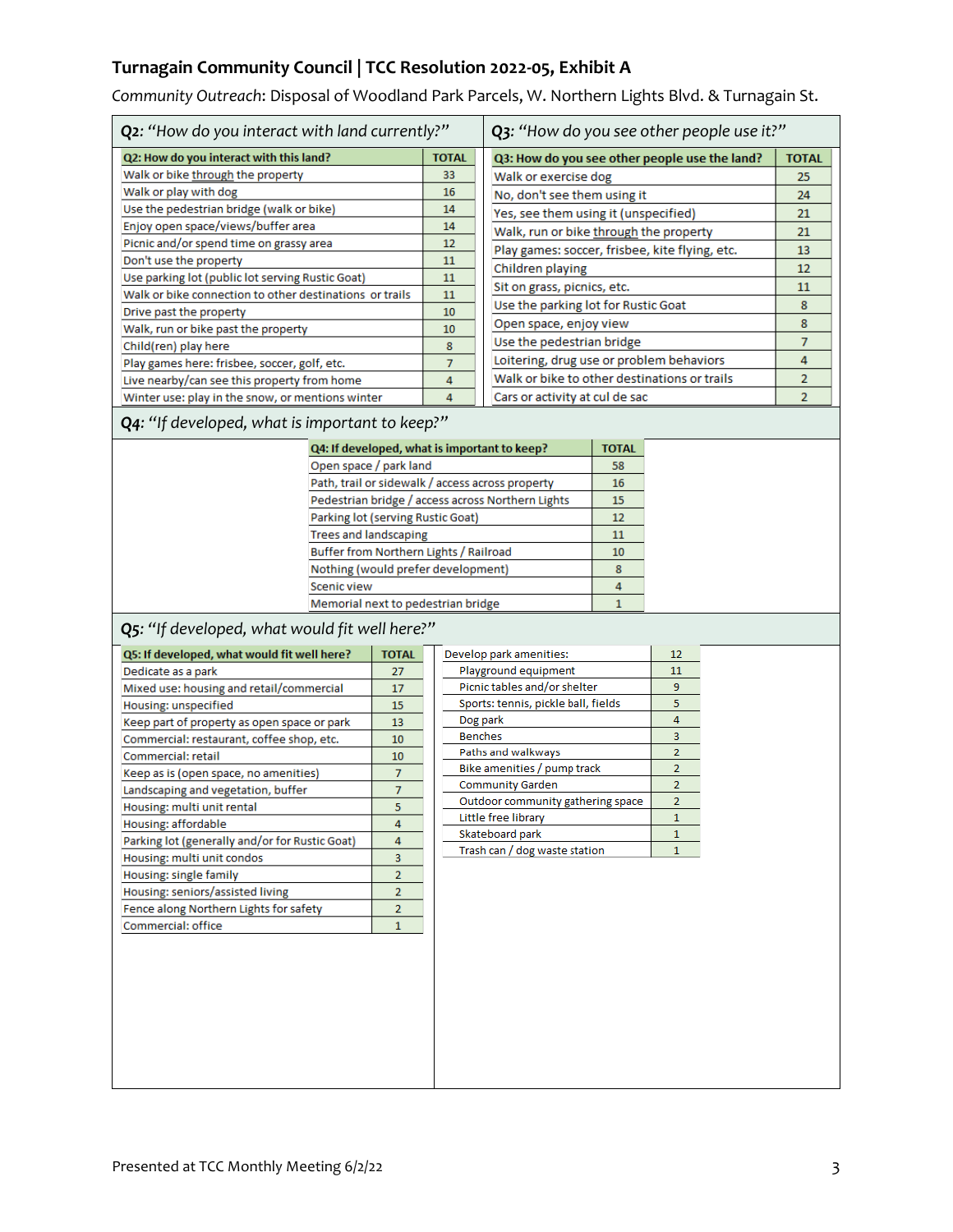*Community Outreach*: Disposal of Woodland Park Parcels, W. Northern Lights Blvd. & Turnagain St.

| Q2: "How do you interact with land currently?"          |              | Q3: "How do you see other people use it?"      |                |
|---------------------------------------------------------|--------------|------------------------------------------------|----------------|
| Q2: How do you interact with this land?                 | <b>TOTAL</b> | Q3: How do you see other people use the land?  | <b>TOTAL</b>   |
| Walk or bike through the property                       | 33           | Walk or exercise dog                           | 25             |
| Walk or play with dog                                   | 16           | No, don't see them using it                    | 24             |
| Use the pedestrian bridge (walk or bike)                | 14           | Yes, see them using it (unspecified)           | 21             |
| Enjoy open space/views/buffer area                      | 14           | Walk, run or bike through the property         | 21             |
| Picnic and/or spend time on grassy area                 | 12           | Play games: soccer, frisbee, kite flying, etc. | 13             |
| Don't use the property                                  | 11           | Children playing                               | 12             |
| Use parking lot (public lot serving Rustic Goat)        | 11           | Sit on grass, picnics, etc.                    | 11             |
| Walk or bike connection to other destinations or trails | 11           |                                                |                |
| Drive past the property                                 | 10           | Use the parking lot for Rustic Goat            | 8              |
| Walk, run or bike past the property                     | 10           | Open space, enjoy view                         | 8              |
| Child(ren) play here                                    | 8            | Use the pedestrian bridge                      | 7              |
| Play games here: frisbee, soccer, golf, etc.            | 7            | Loitering, drug use or problem behaviors       | 4              |
| Live nearby/can see this property from home             | 4            | Walk or bike to other destinations or trails   | $\overline{2}$ |
| Winter use: play in the snow, or mentions winter        | 4            | Cars or activity at cul de sac                 | $\overline{2}$ |

### *Q4: "If developed, what is important to keep?"*

| Q4: If developed, what is important to keep?      | <b>TOTAL</b> |
|---------------------------------------------------|--------------|
| Open space / park land                            | 58           |
| Path, trail or sidewalk / access across property  | 16           |
| Pedestrian bridge / access across Northern Lights | 15           |
| Parking lot (serving Rustic Goat)                 |              |
| <b>Trees and landscaping</b>                      | 11           |
| Buffer from Northern Lights / Railroad            | 10           |
| Nothing (would prefer development)                |              |
| Scenic view                                       |              |
| Memorial next to pedestrian bridge                |              |

### *Q5: "If developed, what would fit well here?"*

| Q5: If developed, what would fit well here?    |                |  |
|------------------------------------------------|----------------|--|
| Dedicate as a park                             |                |  |
| Mixed use: housing and retail/commercial       | 17             |  |
| Housing: unspecified                           | 15             |  |
| Keep part of property as open space or park    | 13             |  |
| Commercial: restaurant, coffee shop, etc.      | 10             |  |
| Commercial: retail                             | 10             |  |
| Keep as is (open space, no amenities)          | 7              |  |
| Landscaping and vegetation, buffer             | 7              |  |
| Housing: multi unit rental                     | 5              |  |
| Housing: affordable                            | 4              |  |
| Parking lot (generally and/or for Rustic Goat) | 4              |  |
| Housing: multi unit condos                     | 3              |  |
| Housing: single family                         | $\overline{2}$ |  |
| Housing: seniors/assisted living               | $\overline{2}$ |  |
| Fence along Northern Lights for safety         | $\overline{2}$ |  |
| Commercial: office                             | 1              |  |

| Develop park amenities:             | 12             |
|-------------------------------------|----------------|
| Playground equipment                | 11             |
| Picnic tables and/or shelter        | 9              |
| Sports: tennis, pickle ball, fields | 5              |
| Dog park                            | 4              |
| <b>Benches</b>                      | 3              |
| Paths and walkways                  | $\overline{2}$ |
| Bike amenities / pump track         | $\overline{2}$ |
| <b>Community Garden</b>             | $\overline{2}$ |
| Outdoor community gathering space   | $\overline{2}$ |
| Little free library                 |                |
| Skateboard park                     |                |
| Trash can / dog waste station       |                |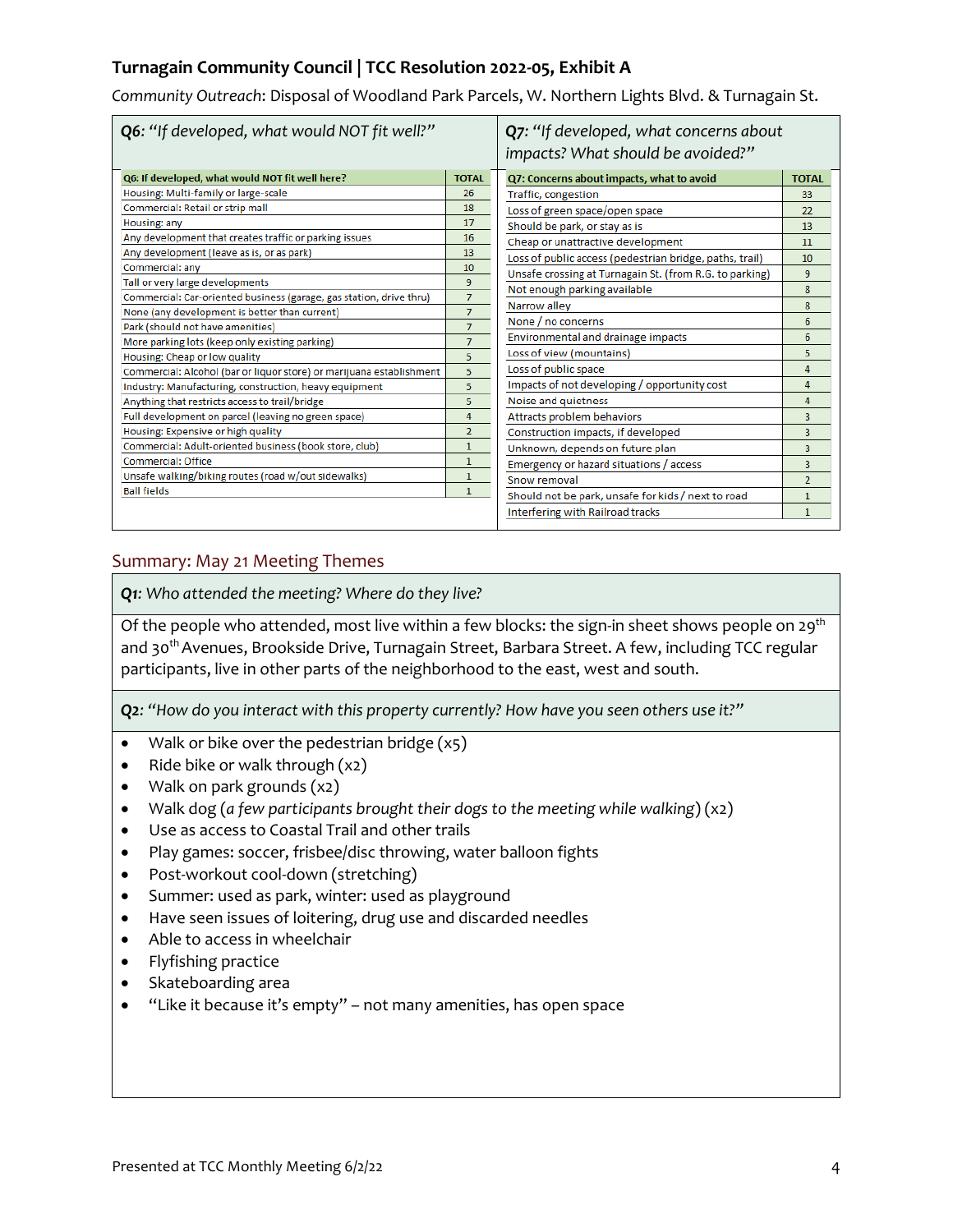*Community Outreach*: Disposal of Woodland Park Parcels, W. Northern Lights Blvd. & Turnagain St.

| Q6: "If developed, what would NOT fit well?"                         |                | Q7: "If developed, what concerns about<br>impacts? What should be avoided?" |                |
|----------------------------------------------------------------------|----------------|-----------------------------------------------------------------------------|----------------|
| Q6: If developed, what would NOT fit well here?                      | <b>TOTAL</b>   | Q7: Concerns about impacts, what to avoid                                   | <b>TOTAL</b>   |
| Housing: Multi-family or large-scale                                 | 26             | Traffic, congestion                                                         | 33             |
| Commercial: Retail or strip mall                                     | 18             | Loss of green space/open space                                              | 22             |
| Housing: any                                                         | 17             | Should be park, or stay as is                                               | 13             |
| Any development that creates traffic or parking issues               | 16             | Cheap or unattractive development                                           | 11             |
| Any development (leave as is, or as park)                            | 13             | Loss of public access (pedestrian bridge, paths, trail)                     | 10             |
| Commercial: any                                                      | 10             | Unsafe crossing at Turnagain St. (from R.G. to parking)                     | 9              |
| Tall or very large developments                                      | 9              | Not enough parking available                                                | 8              |
| Commercial: Car-oriented business (garage, gas station, drive thru)  | $\overline{7}$ | Narrow alley                                                                | 8              |
| None (any development is better than current)                        | $\overline{7}$ | None / no concerns                                                          | 6              |
| Park (should not have amenities)                                     | $\overline{7}$ |                                                                             |                |
| More parking lots (keep only existing parking)                       | $\overline{7}$ | Environmental and drainage impacts                                          | 6              |
| Housing: Cheap or low quality                                        | 5              | Loss of view (mountains)                                                    | 5              |
| Commercial: Alcohol (bar or liquor store) or marijuana establishment | 5              | Loss of public space                                                        | 4              |
| Industry: Manufacturing, construction, heavy equipment               | 5              | Impacts of not developing / opportunity cost                                | 4              |
| Anything that restricts access to trail/bridge                       | 5              | Noise and quietness                                                         | 4              |
| Full development on parcel (leaving no green space)                  | 4              | Attracts problem behaviors                                                  | 3              |
| Housing: Expensive or high quality                                   | $\overline{2}$ | Construction impacts, if developed                                          | 3              |
| Commercial: Adult-oriented business (book store, club)               | $\mathbf{1}$   | Unknown, depends on future plan                                             | 3              |
| <b>Commercial: Office</b>                                            | 1              | Emergency or hazard situations / access                                     | 3              |
| Unsafe walking/biking routes (road w/out sidewalks)                  | 1              | Snow removal                                                                | $\overline{2}$ |
| <b>Ball fields</b>                                                   | $\mathbf{1}$   | Should not be park, unsafe for kids / next to road                          | 1              |
|                                                                      |                | Interfering with Railroad tracks                                            | $\mathbf{1}$   |
|                                                                      |                |                                                                             |                |

### Summary: May 21 Meeting Themes

*Q1: Who attended the meeting? Where do they live?*

Of the people who attended, most live within a few blocks: the sign-in sheet shows people on 29<sup>th</sup> and 30<sup>th</sup> Avenues, Brookside Drive, Turnagain Street, Barbara Street. A few, including TCC regular participants, live in other parts of the neighborhood to the east, west and south.

*Q2: "How do you interact with this property currently? How have you seen others use it?"*

- Walk or bike over the pedestrian bridge (x5)
- Ride bike or walk through  $(x2)$
- Walk on park grounds (x2)
- Walk dog (*a few participants brought their dogs to the meeting while walking*) (x2)
- Use as access to Coastal Trail and other trails
- Play games: soccer, frisbee/disc throwing, water balloon fights
- Post-workout cool-down (stretching)
- Summer: used as park, winter: used as playground
- Have seen issues of loitering, drug use and discarded needles
- Able to access in wheelchair
- Flyfishing practice
- Skateboarding area
- "Like it because it's empty" not many amenities, has open space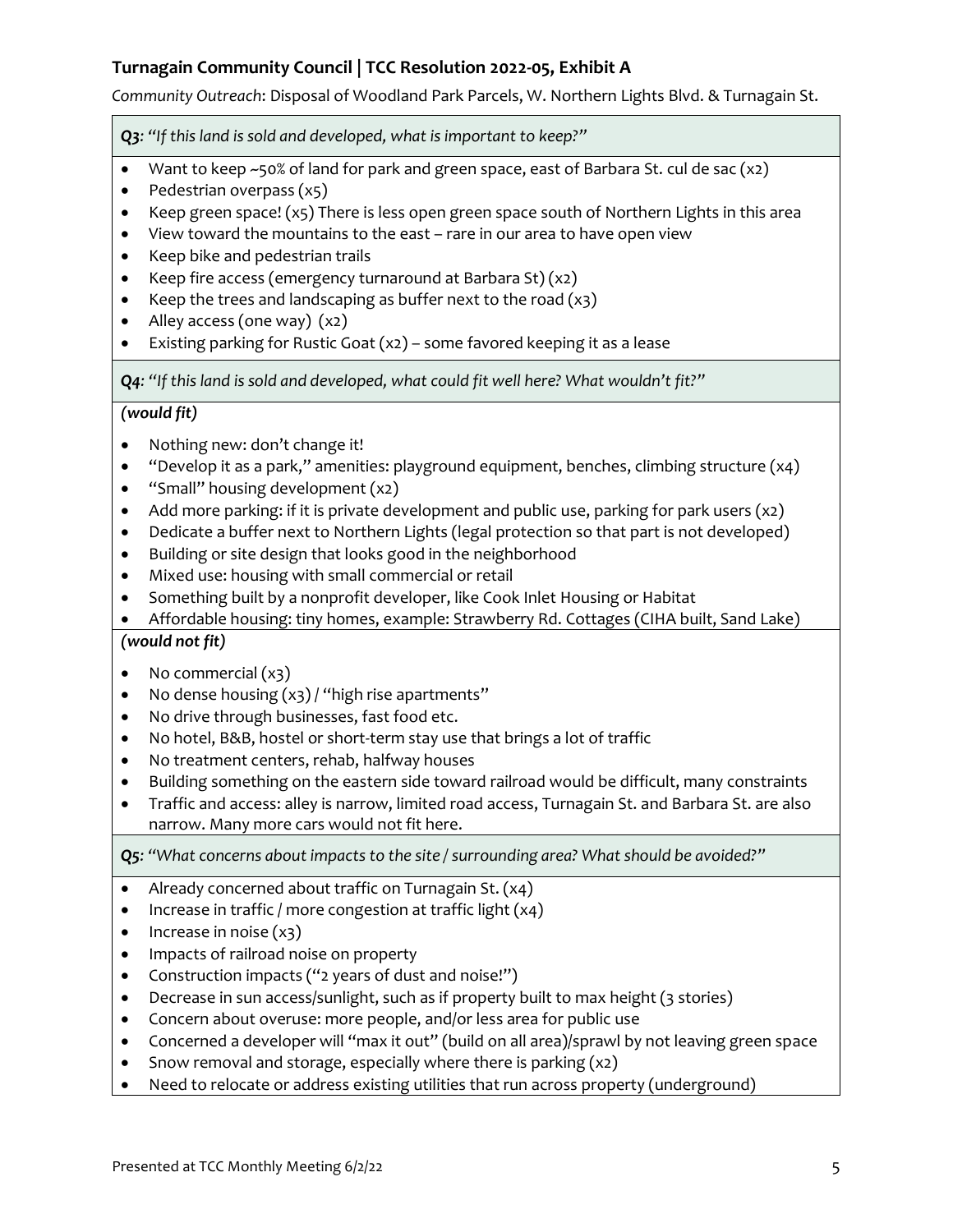*Community Outreach*: Disposal of Woodland Park Parcels, W. Northern Lights Blvd. & Turnagain St.

*Q3: "If this land is sold and developed, what is important to keep?"*

- Want to keep ~50% of land for park and green space, east of Barbara St. cul de sac (x2)
- Pedestrian overpass (x5)
- Keep green space! (x5) There is less open green space south of Northern Lights in this area
- View toward the mountains to the east rare in our area to have open view
- Keep bike and pedestrian trails
- Keep fire access (emergency turnaround at Barbara St) $(x_2)$
- Keep the trees and landscaping as buffer next to the road  $(x3)$
- Alley access (one way) (x2)
- Existing parking for Rustic Goat (x2) some favored keeping it as a lease

*Q4: "If this land is sold and developed, what could fit well here? What wouldn't fit?"*

### *(would fit)*

- Nothing new: don't change it!
- "Develop it as a park," amenities: playground equipment, benches, climbing structure (x4)
- "Small" housing development (x2)
- Add more parking: if it is private development and public use, parking for park users  $(x_2)$
- Dedicate a buffer next to Northern Lights (legal protection so that part is not developed)
- Building or site design that looks good in the neighborhood
- Mixed use: housing with small commercial or retail
- Something built by a nonprofit developer, like Cook Inlet Housing or Habitat
- Affordable housing: tiny homes, example: Strawberry Rd. Cottages (CIHA built, Sand Lake)

### *(would not fit)*

- No commercial  $(x_3)$
- No dense housing  $(x3)$  / "high rise apartments"
- No drive through businesses, fast food etc.
- No hotel, B&B, hostel or short-term stay use that brings a lot of traffic
- No treatment centers, rehab, halfway houses
- Building something on the eastern side toward railroad would be difficult, many constraints
- Traffic and access: alley is narrow, limited road access, Turnagain St. and Barbara St. are also narrow. Many more cars would not fit here.

*Q5: "What concerns about impacts to the site / surrounding area? What should be avoided?"*

- Already concerned about traffic on Turnagain St. (x4)
- Increase in traffic / more congestion at traffic light (x4)
- $\bullet$  Increase in noise  $(x_3)$
- Impacts of railroad noise on property
- Construction impacts ("2 years of dust and noise!")
- Decrease in sun access/sunlight, such as if property built to max height (3 stories)
- Concern about overuse: more people, and/or less area for public use
- Concerned a developer will "max it out" (build on all area)/sprawl by not leaving green space
- Snow removal and storage, especially where there is parking  $(x_2)$
- Need to relocate or address existing utilities that run across property (underground)